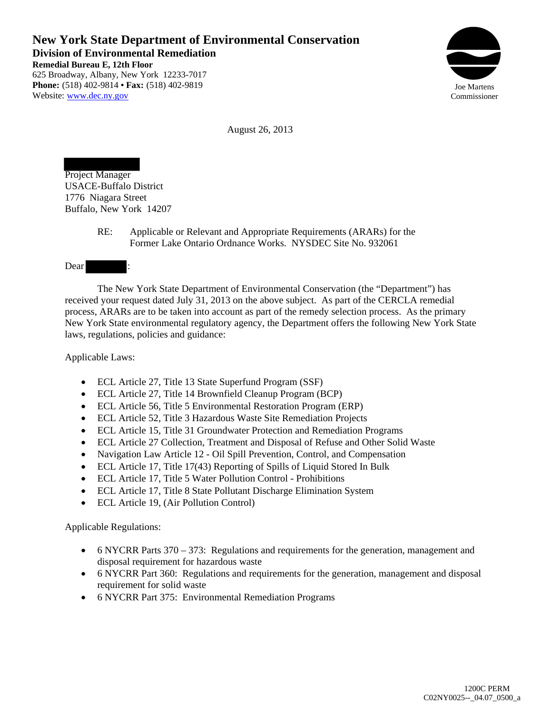**New York State Department of Environmental Conservation Division of Environmental Remediation Remedial Bureau E, 12th Floor**  625 Broadway, Albany, New York 12233-7017 **Phone:** (518) 402-9814 **• Fax:** (518) 402-9819 Website: www.dec.ny.gov



August 26, 2013

Project Manager USACE-Buffalo District 1776 Niagara Street Buffalo, New York 14207

> RE: Applicable or Relevant and Appropriate Requirements (ARARs) for the Former Lake Ontario Ordnance Works. NYSDEC Site No. 932061

Dear

 The New York State Department of Environmental Conservation (the "Department") has received your request dated July 31, 2013 on the above subject. As part of the CERCLA remedial process, ARARs are to be taken into account as part of the remedy selection process. As the primary New York State environmental regulatory agency, the Department offers the following New York State laws, regulations, policies and guidance:

Applicable Laws:

- ECL Article 27, Title 13 State Superfund Program (SSF)
- ECL Article 27, Title 14 Brownfield Cleanup Program (BCP)
- ECL Article 56, Title 5 Environmental Restoration Program (ERP)
- ECL Article 52, Title 3 Hazardous Waste Site Remediation Projects
- ECL Article 15, Title 31 Groundwater Protection and Remediation Programs
- ECL Article 27 Collection, Treatment and Disposal of Refuse and Other Solid Waste
- Navigation Law Article 12 Oil Spill Prevention, Control, and Compensation
- ECL Article 17, Title 17(43) Reporting of Spills of Liquid Stored In Bulk
- ECL Article 17, Title 5 Water Pollution Control Prohibitions
- ECL Article 17, Title 8 State Pollutant Discharge Elimination System
- ECL Article 19, (Air Pollution Control)

Applicable Regulations:

- 6 NYCRR Parts 370 373: Regulations and requirements for the generation, management and disposal requirement for hazardous waste
- 6 NYCRR Part 360: Regulations and requirements for the generation, management and disposal requirement for solid waste
- 6 NYCRR Part 375: Environmental Remediation Programs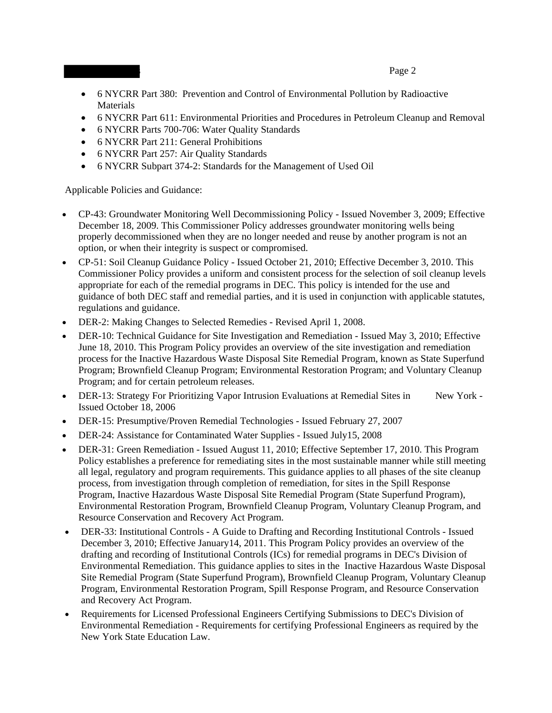## • 6 NYCRR Part 380: Prevention and Control of Environmental Pollution by Radioactive Materials

- 6 NYCRR Part 611: Environmental Priorities and Procedures in Petroleum Cleanup and Removal
- 6 NYCRR Parts 700-706: Water Quality Standards
- 6 NYCRR Part 211: General Prohibitions
- 6 NYCRR Part 257: Air Quality Standards
- 6 NYCRR Subpart 374-2: Standards for the Management of Used Oil

Applicable Policies and Guidance:

- CP-43: Groundwater Monitoring Well Decommissioning Policy Issued November 3, 2009; Effective December 18, 2009. This Commissioner Policy addresses groundwater monitoring wells being properly decommissioned when they are no longer needed and reuse by another program is not an option, or when their integrity is suspect or compromised.
- CP-51: Soil Cleanup Guidance Policy Issued October 21, 2010; Effective December 3, 2010. This Commissioner Policy provides a uniform and consistent process for the selection of soil cleanup levels appropriate for each of the remedial programs in DEC. This policy is intended for the use and guidance of both DEC staff and remedial parties, and it is used in conjunction with applicable statutes, regulations and guidance.
- DER-2: Making Changes to Selected Remedies Revised April 1, 2008.
- DER-10: Technical Guidance for Site Investigation and Remediation Issued May 3, 2010; Effective June 18, 2010. This Program Policy provides an overview of the site investigation and remediation process for the Inactive Hazardous Waste Disposal Site Remedial Program, known as State Superfund Program; Brownfield Cleanup Program; Environmental Restoration Program; and Voluntary Cleanup Program; and for certain petroleum releases.
- DER-13: Strategy For Prioritizing Vapor Intrusion Evaluations at Remedial Sites in New York -Issued October 18, 2006
- DER-15: Presumptive/Proven Remedial Technologies Issued February 27, 2007
- DER-24: Assistance for Contaminated Water Supplies Issued July15, 2008
- DER-31: Green Remediation Issued August 11, 2010; Effective September 17, 2010. This Program Policy establishes a preference for remediating sites in the most sustainable manner while still meeting all legal, regulatory and program requirements. This guidance applies to all phases of the site cleanup process, from investigation through completion of remediation, for sites in the Spill Response Program, Inactive Hazardous Waste Disposal Site Remedial Program (State Superfund Program), Environmental Restoration Program, Brownfield Cleanup Program, Voluntary Cleanup Program, and Resource Conservation and Recovery Act Program.
- DER-33: Institutional Controls A Guide to Drafting and Recording Institutional Controls Issued December 3, 2010; Effective January14, 2011. This Program Policy provides an overview of the drafting and recording of Institutional Controls (ICs) for remedial programs in DEC's Division of Environmental Remediation. This guidance applies to sites in the Inactive Hazardous Waste Disposal Site Remedial Program (State Superfund Program), Brownfield Cleanup Program, Voluntary Cleanup Program, Environmental Restoration Program, Spill Response Program, and Resource Conservation and Recovery Act Program.
- Requirements for Licensed Professional Engineers Certifying Submissions to DEC's Division of Environmental Remediation - Requirements for certifying Professional Engineers as required by the New York State Education Law.